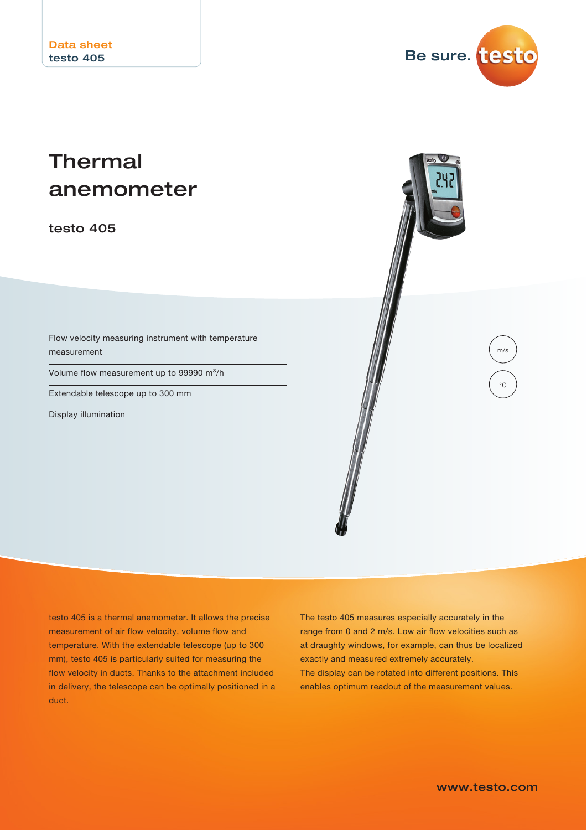Be sure. testo

m/s

 $^{\circ}C$ 

## Thermal anemometer

testo 405

Flow velocity measuring instrument with temperature measurement

Volume flow measurement up to 99990 m<sup>3</sup>/h

Extendable telescope up to 300 mm

Display illumination

testo 405 is a thermal anemometer. It allows the precise measurement of air flow velocity, volume flow and temperature. With the extendable telescope (up to 300 mm), testo 405 is particularly suited for measuring the flow velocity in ducts. Thanks to the attachment included in delivery, the telescope can be optimally positioned in a duct.

The testo 405 measures especially accurately in the range from 0 and 2 m/s. Low air flow velocities such as at draughty windows, for example, can thus be localized exactly and measured extremely accurately. The display can be rotated into different positions. This enables optimum readout of the measurement values.